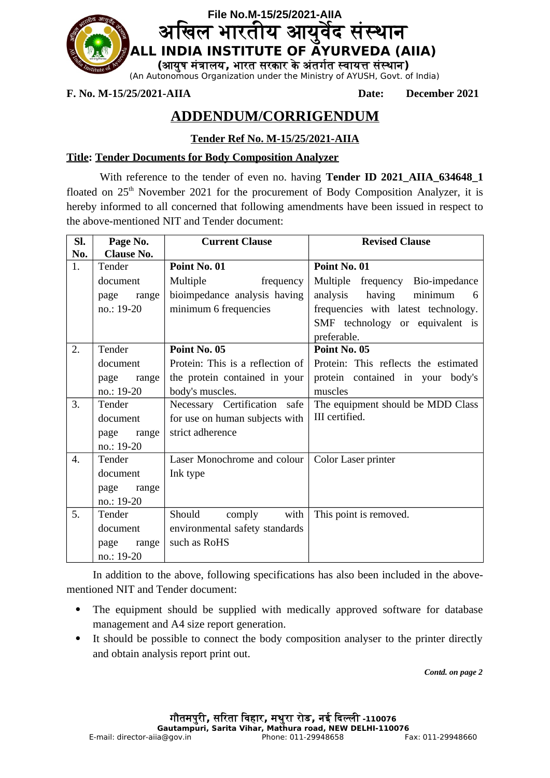

**F. No. M-15/25/2021-AIIA Date: December 2021**

# **ADDENDUM/CORRIGENDUM**

# **Tender Ref No. M-15/25/2021-AIIA**

## **Title: Tender Documents for Body Composition Analyzer**

With reference to the tender of even no. having **Tender ID 2021 AIIA 634648 1** floated on  $25<sup>th</sup>$  November 2021 for the procurement of Body Composition Analyzer, it is hereby informed to all concerned that following amendments have been issued in respect to the above-mentioned NIT and Tender document:

| SI.<br>No. | Page No.<br><b>Clause No.</b>                                                                          | <b>Current Clause</b>                                                                                                                                                                      | <b>Revised Clause</b>                                                                                                                                                              |
|------------|--------------------------------------------------------------------------------------------------------|--------------------------------------------------------------------------------------------------------------------------------------------------------------------------------------------|------------------------------------------------------------------------------------------------------------------------------------------------------------------------------------|
| 1.         | Tender<br>document<br>page<br>range<br>no.: 19-20                                                      | Point No. 01<br>Multiple<br>frequency<br>bioimpedance analysis having<br>minimum 6 frequencies                                                                                             | Point No. 01<br>Multiple frequency<br>Bio-impedance<br>analysis<br>having<br>minimum<br>6<br>frequencies with latest technology.<br>SMF technology or equivalent is<br>preferable. |
| 2.<br>3.   | Tender<br>document<br>page<br>range<br>no.: 19-20<br>Tender<br>document<br>page<br>range<br>no.: 19-20 | Point No. 05<br>Protein: This is a reflection of<br>the protein contained in your<br>body's muscles.<br>Necessary Certification safe<br>for use on human subjects with<br>strict adherence | Point No. 05<br>Protein: This reflects the estimated<br>protein contained in your<br>body's<br>muscles<br>The equipment should be MDD Class<br>III certified.                      |
| 4.<br>5.   | Tender<br>document<br>page<br>range<br>no.: 19-20<br>Tender                                            | Laser Monochrome and colour<br>Ink type<br>Should<br>comply<br>with                                                                                                                        | Color Laser printer<br>This point is removed.                                                                                                                                      |
|            | document<br>range<br>page<br>no.: 19-20                                                                | environmental safety standards<br>such as RoHS                                                                                                                                             |                                                                                                                                                                                    |

In addition to the above, following specifications has also been included in the abovementioned NIT and Tender document:

- The equipment should be supplied with medically approved software for database management and A4 size report generation.
- It should be possible to connect the body composition analyser to the printer directly and obtain analysis report print out.

*Contd. on page 2*